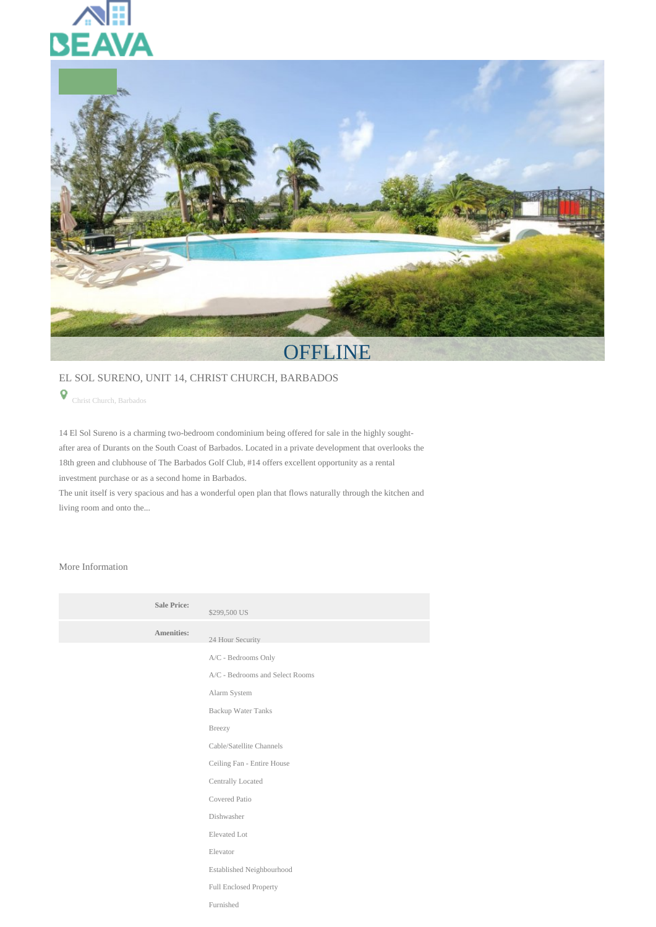



## EL SOL SURENO, UNIT 14, CHRIST CHURCH, BARBADOS

Christ Church, Barbados

14 El Sol Sureno is a charming two-bedroom condominium being offered for sale in the highly soughtafter area of Durants on the South Coast of Barbados. Located in a private development that overlooks the 18th green and clubhouse of The Barbados Golf Club, #14 offers excellent opportunity as a rental investment purchase or as a second home in Barbados.

The unit itself is very spacious and has a wonderful open plan that flows naturally through the kitchen and living room and onto the...

## More Information

| <b>Sale Price:</b> | \$299,500 US                    |
|--------------------|---------------------------------|
| <b>Amenities:</b>  | 24 Hour Security                |
|                    | A/C - Bedrooms Only             |
|                    | A/C - Bedrooms and Select Rooms |
|                    | Alarm System                    |
|                    | <b>Backup Water Tanks</b>       |
|                    | Breezy                          |
|                    | Cable/Satellite Channels        |
|                    | Ceiling Fan - Entire House      |
|                    | Centrally Located               |
|                    | Covered Patio                   |
|                    | Dishwasher                      |
|                    | Elevated Lot                    |
|                    | Elevator                        |
|                    | Established Neighbourhood       |
|                    | Full Enclosed Property          |
|                    | Furnished                       |